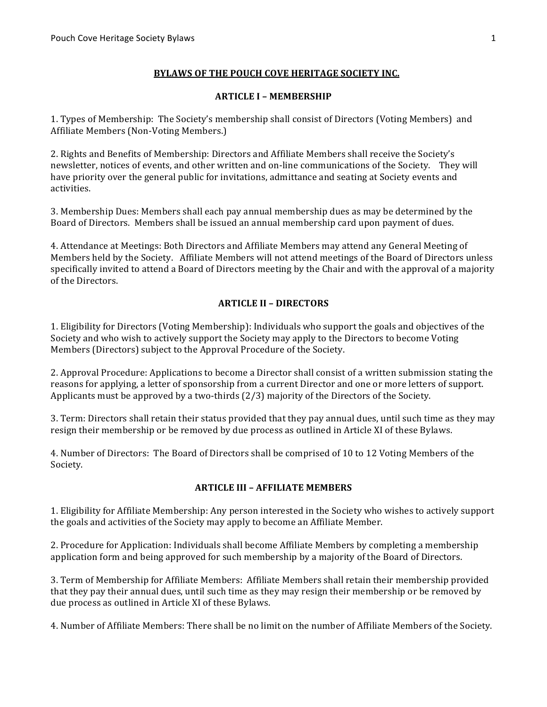## **BYLAWS OF THE POUCH COVE HERITAGE SOCIETY INC.**

#### **ARTICLE I – MEMBERSHIP**

1. Types of Membership: The Society's membership shall consist of Directors (Voting Members) and Affiliate Members (Non-Voting Members.)

2. Rights and Benefits of Membership: Directors and Affiliate Members shall receive the Society's newsletter, notices of events, and other written and on-line communications of the Society. They will have priority over the general public for invitations, admittance and seating at Society events and activities.

3. Membership Dues: Members shall each pay annual membership dues as may be determined by the Board of Directors. Members shall be issued an annual membership card upon payment of dues.

4. Attendance at Meetings: Both Directors and Affiliate Members may attend any General Meeting of Members held by the Society. Affiliate Members will not attend meetings of the Board of Directors unless specifically invited to attend a Board of Directors meeting by the Chair and with the approval of a majority of the Directors.

### **ARTICLE II - DIRECTORS**

1. Eligibility for Directors (Voting Membership): Individuals who support the goals and objectives of the Society and who wish to actively support the Society may apply to the Directors to become Voting Members (Directors) subject to the Approval Procedure of the Society.

2. Approval Procedure: Applications to become a Director shall consist of a written submission stating the reasons for applying, a letter of sponsorship from a current Director and one or more letters of support. Applicants must be approved by a two-thirds  $(2/3)$  majority of the Directors of the Society.

3. Term: Directors shall retain their status provided that they pay annual dues, until such time as they may resign their membership or be removed by due process as outlined in Article XI of these Bylaws.

4. Number of Directors: The Board of Directors shall be comprised of 10 to 12 Voting Members of the Society.

#### **ARTICLE III - AFFILIATE MEMBERS**

1. Eligibility for Affiliate Membership: Any person interested in the Society who wishes to actively support the goals and activities of the Society may apply to become an Affiliate Member.

2. Procedure for Application: Individuals shall become Affiliate Members by completing a membership application form and being approved for such membership by a majority of the Board of Directors.

3. Term of Membership for Affiliate Members: Affiliate Members shall retain their membership provided that they pay their annual dues, until such time as they may resign their membership or be removed by due process as outlined in Article XI of these Bylaws.

4. Number of Affiliate Members: There shall be no limit on the number of Affiliate Members of the Society.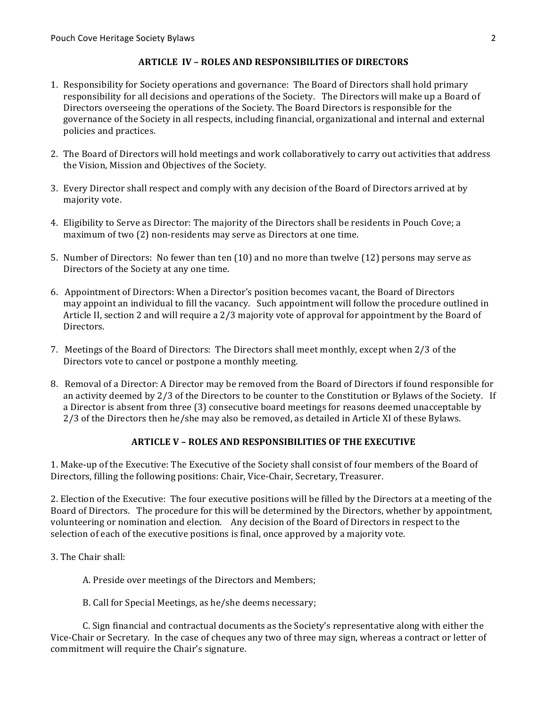### **ARTICLE IV – ROLES AND RESPONSIBILITIES OF DIRECTORS**

- 1. Responsibility for Society operations and governance: The Board of Directors shall hold primary responsibility for all decisions and operations of the Society. The Directors will make up a Board of Directors overseeing the operations of the Society. The Board Directors is responsible for the governance of the Society in all respects, including financial, organizational and internal and external policies and practices.
- 2. The Board of Directors will hold meetings and work collaboratively to carry out activities that address the Vision, Mission and Objectives of the Society.
- 3. Every Director shall respect and comply with any decision of the Board of Directors arrived at by majority vote.
- 4. Eligibility to Serve as Director: The majority of the Directors shall be residents in Pouch Cove; a maximum of two (2) non-residents may serve as Directors at one time.
- 5. Number of Directors: No fewer than ten  $(10)$  and no more than twelve  $(12)$  persons may serve as Directors of the Society at any one time.
- 6. Appointment of Directors: When a Director's position becomes vacant, the Board of Directors may appoint an individual to fill the vacancy. Such appointment will follow the procedure outlined in Article II, section 2 and will require a  $2/3$  majority vote of approval for appointment by the Board of Directors.
- 7. Meetings of the Board of Directors: The Directors shall meet monthly, except when 2/3 of the Directors vote to cancel or postpone a monthly meeting.
- 8. Removal of a Director: A Director may be removed from the Board of Directors if found responsible for an activity deemed by 2/3 of the Directors to be counter to the Constitution or Bylaws of the Society. If a Director is absent from three (3) consecutive board meetings for reasons deemed unacceptable by 2/3 of the Directors then he/she may also be removed, as detailed in Article XI of these Bylaws.

## **ARTICLE V - ROLES AND RESPONSIBILITIES OF THE EXECUTIVE**

1. Make-up of the Executive: The Executive of the Society shall consist of four members of the Board of Directors, filling the following positions: Chair, Vice-Chair, Secretary, Treasurer.

2. Election of the Executive: The four executive positions will be filled by the Directors at a meeting of the Board of Directors. The procedure for this will be determined by the Directors, whether by appointment, volunteering or nomination and election. Any decision of the Board of Directors in respect to the selection of each of the executive positions is final, once approved by a majority vote.

- 3. The Chair shall:
	- A. Preside over meetings of the Directors and Members;
	- B. Call for Special Meetings, as he/she deems necessary;

C. Sign financial and contractual documents as the Society's representative along with either the Vice-Chair or Secretary. In the case of cheques any two of three may sign, whereas a contract or letter of commitment will require the Chair's signature.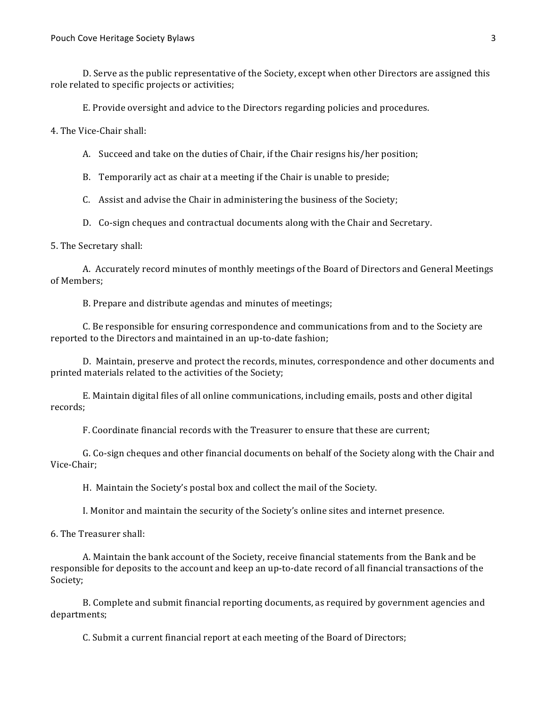D. Serve as the public representative of the Society, except when other Directors are assigned this role related to specific projects or activities;

E. Provide oversight and advice to the Directors regarding policies and procedures.

4. The Vice-Chair shall:

A. Succeed and take on the duties of Chair, if the Chair resigns his/her position;

B. Temporarily act as chair at a meeting if the Chair is unable to preside;

C. Assist and advise the Chair in administering the business of the Society;

D. Co-sign cheques and contractual documents along with the Chair and Secretary.

5. The Secretary shall:

A. Accurately record minutes of monthly meetings of the Board of Directors and General Meetings of Members:

B. Prepare and distribute agendas and minutes of meetings;

C. Be responsible for ensuring correspondence and communications from and to the Society are reported to the Directors and maintained in an up-to-date fashion;

D. Maintain, preserve and protect the records, minutes, correspondence and other documents and printed materials related to the activities of the Society;

E. Maintain digital files of all online communications, including emails, posts and other digital records;

F. Coordinate financial records with the Treasurer to ensure that these are current;

G. Co-sign cheques and other financial documents on behalf of the Society along with the Chair and Vice-Chair;

H. Maintain the Society's postal box and collect the mail of the Society.

I. Monitor and maintain the security of the Society's online sites and internet presence.

6. The Treasurer shall:

A. Maintain the bank account of the Society, receive financial statements from the Bank and be responsible for deposits to the account and keep an up-to-date record of all financial transactions of the Society;

B. Complete and submit financial reporting documents, as required by government agencies and departments;

C. Submit a current financial report at each meeting of the Board of Directors;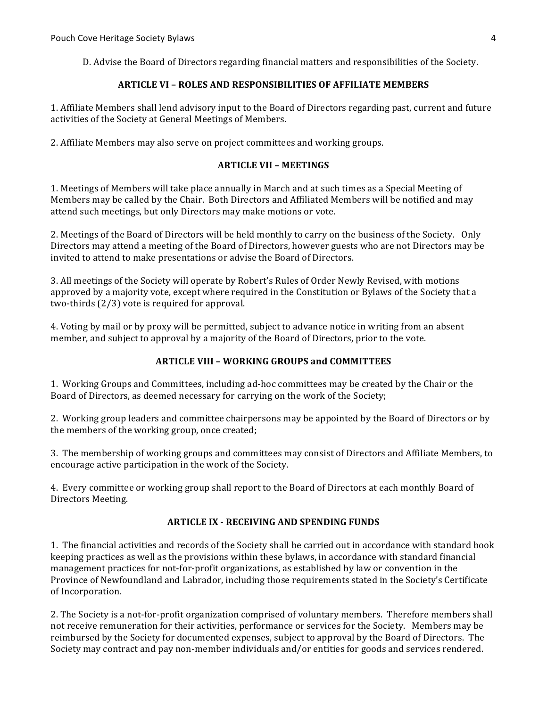D. Advise the Board of Directors regarding financial matters and responsibilities of the Society.

### **ARTICLE VI – ROLES AND RESPONSIBILITIES OF AFFILIATE MEMBERS**

1. Affiliate Members shall lend advisory input to the Board of Directors regarding past, current and future activities of the Society at General Meetings of Members.

2. Affiliate Members may also serve on project committees and working groups.

#### **ARTICLE VII – MEETINGS**

1. Meetings of Members will take place annually in March and at such times as a Special Meeting of Members may be called by the Chair. Both Directors and Affiliated Members will be notified and may attend such meetings, but only Directors may make motions or vote.

2. Meetings of the Board of Directors will be held monthly to carry on the business of the Society. Only Directors may attend a meeting of the Board of Directors, however guests who are not Directors may be invited to attend to make presentations or advise the Board of Directors.

3. All meetings of the Society will operate by Robert's Rules of Order Newly Revised, with motions approved by a majority vote, except where required in the Constitution or Bylaws of the Society that a two-thirds  $(2/3)$  vote is required for approval.

4. Voting by mail or by proxy will be permitted, subject to advance notice in writing from an absent member, and subject to approval by a majority of the Board of Directors, prior to the vote.

### **ARTICLE VIII – WORKING GROUPS and COMMITTEES**

1. Working Groups and Committees, including ad-hoc committees may be created by the Chair or the Board of Directors, as deemed necessary for carrying on the work of the Society;

2. Working group leaders and committee chairpersons may be appointed by the Board of Directors or by the members of the working group, once created;

3. The membership of working groups and committees may consist of Directors and Affiliate Members, to encourage active participation in the work of the Society.

4. Every committee or working group shall report to the Board of Directors at each monthly Board of Directors Meeting.

## **ARTICLE IX - RECEIVING AND SPENDING FUNDS**

1. The financial activities and records of the Society shall be carried out in accordance with standard book keeping practices as well as the provisions within these bylaws, in accordance with standard financial management practices for not-for-profit organizations, as established by law or convention in the Province of Newfoundland and Labrador, including those requirements stated in the Society's Certificate of Incorporation.

2. The Society is a not-for-profit organization comprised of voluntary members. Therefore members shall not receive remuneration for their activities, performance or services for the Society. Members may be reimbursed by the Society for documented expenses, subject to approval by the Board of Directors. The Society may contract and pay non-member individuals and/or entities for goods and services rendered.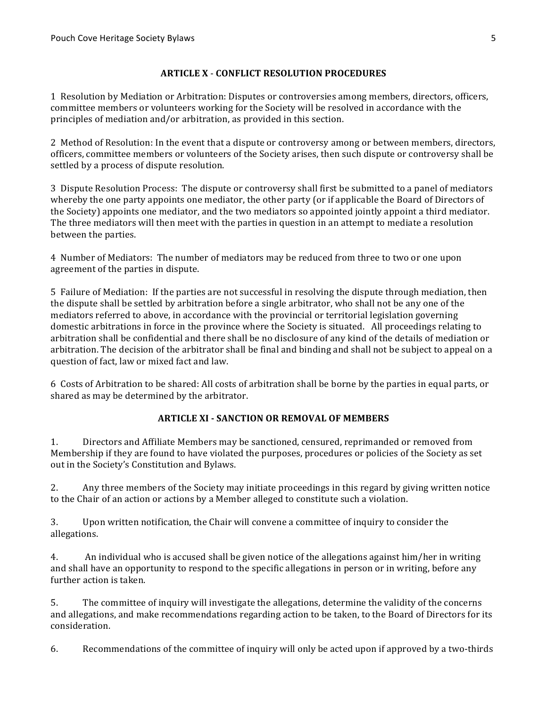## **ARTICLE X** - **CONFLICT RESOLUTION PROCEDURES**

1 Resolution by Mediation or Arbitration: Disputes or controversies among members, directors, officers, committee members or volunteers working for the Society will be resolved in accordance with the principles of mediation and/or arbitration, as provided in this section.

2 Method of Resolution: In the event that a dispute or controversy among or between members, directors, officers, committee members or volunteers of the Society arises, then such dispute or controversy shall be settled by a process of dispute resolution.

3 Dispute Resolution Process: The dispute or controversy shall first be submitted to a panel of mediators whereby the one party appoints one mediator, the other party (or if applicable the Board of Directors of the Society) appoints one mediator, and the two mediators so appointed jointly appoint a third mediator. The three mediators will then meet with the parties in question in an attempt to mediate a resolution between the parties.

4 Number of Mediators: The number of mediators may be reduced from three to two or one upon agreement of the parties in dispute.

5 Failure of Mediation: If the parties are not successful in resolving the dispute through mediation, then the dispute shall be settled by arbitration before a single arbitrator, who shall not be any one of the mediators referred to above, in accordance with the provincial or territorial legislation governing domestic arbitrations in force in the province where the Society is situated. All proceedings relating to arbitration shall be confidential and there shall be no disclosure of any kind of the details of mediation or arbitration. The decision of the arbitrator shall be final and binding and shall not be subject to appeal on a question of fact, law or mixed fact and law.

6 Costs of Arbitration to be shared: All costs of arbitration shall be borne by the parties in equal parts, or shared as may be determined by the arbitrator.

# **ARTICLE XI - SANCTION OR REMOVAL OF MEMBERS**

1. Directors and Affiliate Members may be sanctioned, censured, reprimanded or removed from Membership if they are found to have violated the purposes, procedures or policies of the Society as set out in the Society's Constitution and Bylaws.

2. Any three members of the Society may initiate proceedings in this regard by giving written notice to the Chair of an action or actions by a Member alleged to constitute such a violation.

3. Upon written notification, the Chair will convene a committee of inquiry to consider the allegations.

4. An individual who is accused shall be given notice of the allegations against him/her in writing and shall have an opportunity to respond to the specific allegations in person or in writing, before any further action is taken.

5. The committee of inquiry will investigate the allegations, determine the validity of the concerns and allegations, and make recommendations regarding action to be taken, to the Board of Directors for its consideration.

6. Recommendations of the committee of inquiry will only be acted upon if approved by a two-thirds